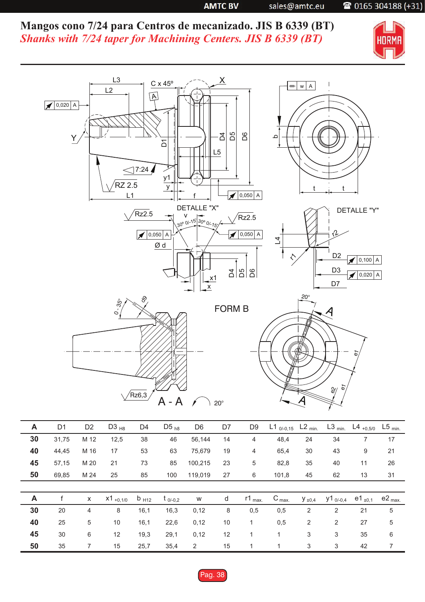**AMTC BV** 

sales@amtc.eu

## 2 0165 304188 (+31)

**Mangos cono 7/24 para Centros de mecanizado. JIS B 6339 (BT)** *Shanks with 7/24 taper for Machining Centers. JIS B 6339 (BT)*





| A  | D <sub>1</sub> | D <sub>2</sub> | $D3_{H8}$     | D4                 | D <sub>5 h8</sub> | D <sub>6</sub> | D7 | D <sub>9</sub>    | L1 $_{0/-0,15}$  | $L2_{min.}$    | $L3$ <sub>min.</sub> | L4 $_{+0,5/0}$ L5 <sub>min.</sub> |                   |
|----|----------------|----------------|---------------|--------------------|-------------------|----------------|----|-------------------|------------------|----------------|----------------------|-----------------------------------|-------------------|
| 30 | 31,75          | M 12           | 12,5          | 38                 | 46                | 56,144         | 14 | 4                 | 48,4             | 24             | 34                   | 7                                 | 17                |
| 40 | 44,45          | M 16           | 17            | 53                 | 63                | 75,679         | 19 | 4                 | 65,4             | 30             | 43                   | 9                                 | 21                |
| 45 | 57,15          | M 20           | 21            | 73                 | 85                | 100,215        | 23 | 5                 | 82,8             | 35             | 40                   | 11                                | 26                |
| 50 | 69,85          | M 24           | 25            | 85                 | 100               | 119,019        | 27 | 6                 | 101,8            | 45             | 62                   | 13                                | 31                |
|    |                |                |               |                    |                   |                |    |                   |                  |                |                      |                                   |                   |
|    |                |                |               |                    |                   |                |    |                   |                  |                |                      |                                   |                   |
| A  |                | $\mathsf{x}$   | $x1_{+0,1/0}$ | $b$ <sub>H12</sub> | $t_{0/-0,2}$      | W              | d  | $r1_{\text{max}}$ | $C_{\text{max}}$ | $y_{\pm 0,4}$  | y1 <sub>0/-0,4</sub> | e1 <sub>±0,1</sub>                | $e2_{\text{max}}$ |
| 30 | 20             | 4              | 8             | 16,1               | 16,3              | 0,12           | 8  | 0,5               | 0,5              | $\overline{2}$ | 2                    | 21                                | 5                 |
| 40 | 25             | 5              | 10            | 16,1               | 22,6              | 0,12           | 10 | $\mathbf{1}$      | 0,5              | 2              | 2                    | 27                                | 5                 |
| 45 | 30             | 6              | 12            | 19,3               | 29,1              | 0,12           | 12 | 1                 | 1                | 3              | 3                    | 35                                | 6                 |
| 50 | 35             |                | 15            | 25,7               | 35,4              | 2              | 15 |                   | 1                | 3              | 3                    | 42                                | 7                 |